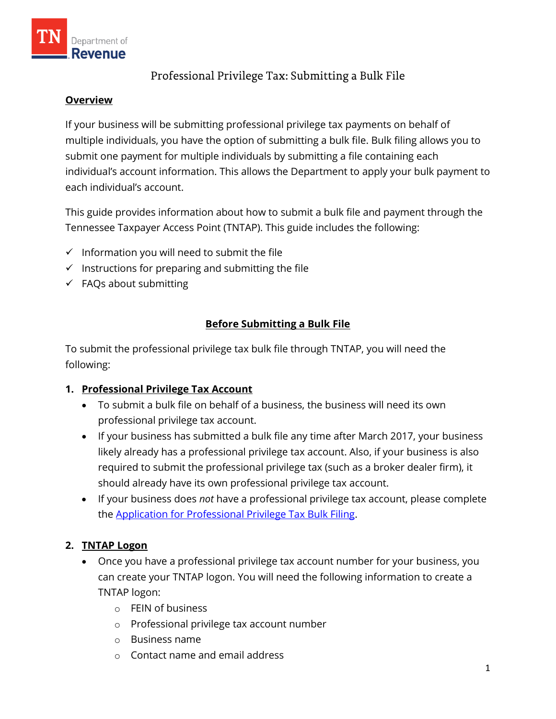

# Professional Privilege Tax: Submitting a Bulk File

#### **Overview**

If your business will be submitting professional privilege tax payments on behalf of multiple individuals, you have the option of submitting a bulk file. Bulk filing allows you to submit one payment for multiple individuals by submitting a file containing each individual's account information. This allows the Department to apply your bulk payment to each individual's account.

This guide provides information about how to submit a bulk file and payment through the Tennessee Taxpayer Access Point (TNTAP). This guide includes the following:

- $\checkmark$  Information you will need to submit the file
- $\checkmark$  Instructions for preparing and submitting the file
- $\checkmark$  FAQs about submitting

## **Before Submitting a Bulk File**

To submit the professional privilege tax bulk file through TNTAP, you will need the following:

## **1. Professional Privilege Tax Account**

- To submit a bulk file on behalf of a business, the business will need its own professional privilege tax account.
- If your business has submitted a bulk file any time after March 2017, your business likely already has a professional privilege tax account. Also, if your business is also required to submit the professional privilege tax (such as a broker dealer firm), it should already have its own professional privilege tax account.
- If your business does *not* have a professional privilege tax account, please complete the [Application for Professional Privilege Tax Bulk Filing.](https://www.tn.gov/content/dam/tn/revenue/documents/forms/profee/applicbulkfiling.pdf)

## **2. TNTAP Logon**

- Once you have a professional privilege tax account number for your business, you can create your TNTAP logon. You will need the following information to create a TNTAP logon:
	- o FEIN of business
	- o Professional privilege tax account number
	- o Business name
	- o Contact name and email address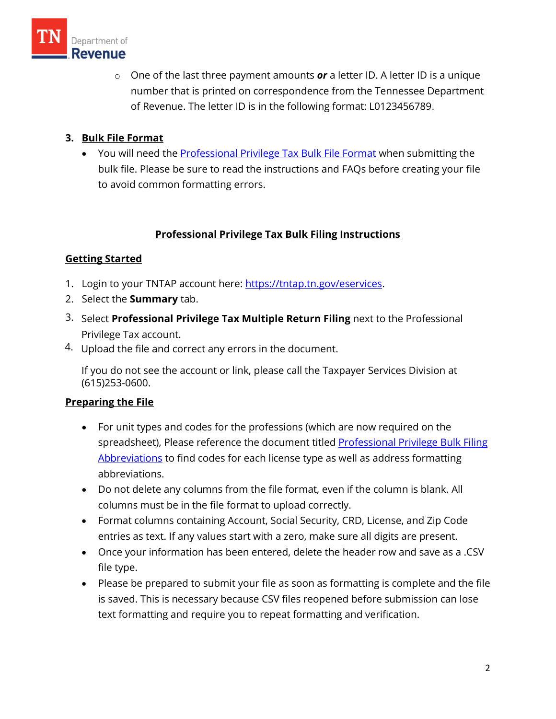

o One of the last three payment amounts *or* a letter ID. A letter ID is a unique number that is printed on correspondence from the Tennessee Department of Revenue. The letter ID is in the following format: L0123456789.

## **3. Bulk File Format**

• You will need the **Professional Privilege Tax Bulk File Format** when submitting the bulk file. Please be sure to read the instructions and FAQs before creating your file to avoid common formatting errors.

## **Professional Privilege Tax Bulk Filing Instructions**

#### **Getting Started**

- 1. Login to your TNTAP account here: [https://tntap.tn.gov/eservices.](https://tntap.tn.gov/eservices)
- 2. Select the **Summary** tab.
- 3. Select **Professional Privilege Tax Multiple Return Filing** next to the Professional Privilege Tax account.
- 4. Upload the file and correct any errors in the document.

If you do not see the account or link, please call the Taxpayer Services Division at (615)253-0600.

#### **Preparing the File**

- For unit types and codes for the professions (which are now required on the spreadsheet), Please reference the document titled [Professional Privilege Bulk Filing](https://www.tn.gov/content/dam/tn/revenue/documents/taxes/profee/profeebulkabbrev.pdf) [Abbreviations](https://www.tn.gov/content/dam/tn/revenue/documents/taxes/profee/profeebulkabbrev.pdf) to find codes for each license type as well as address formatting abbreviations.
- Do not delete any columns from the file format, even if the column is blank. All columns must be in the file format to upload correctly.
- Format columns containing Account, Social Security, CRD, License, and Zip Code entries as text. If any values start with a zero, make sure all digits are present.
- Once your information has been entered, delete the header row and save as a .CSV file type.
- Please be prepared to submit your file as soon as formatting is complete and the file is saved. This is necessary because CSV files reopened before submission can lose text formatting and require you to repeat formatting and verification.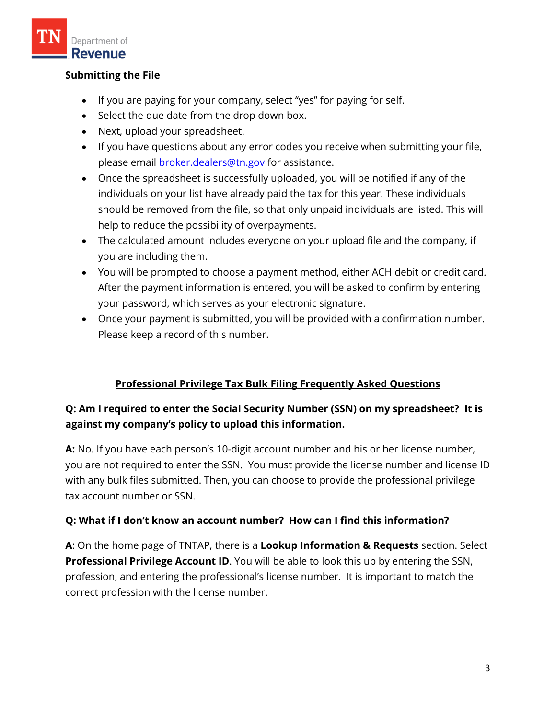

#### **Submitting the File**

- If you are paying for your company, select "yes" for paying for self.
- Select the due date from the drop down box.
- Next, upload your spreadsheet.
- If you have questions about any error codes you receive when submitting your file, please email **broker.dealers@tn.gov** for assistance.
- Once the spreadsheet is successfully uploaded, you will be notified if any of the individuals on your list have already paid the tax for this year. These individuals should be removed from the file, so that only unpaid individuals are listed. This will help to reduce the possibility of overpayments.
- The calculated amount includes everyone on your upload file and the company, if you are including them.
- You will be prompted to choose a payment method, either ACH debit or credit card. After the payment information is entered, you will be asked to confirm by entering your password, which serves as your electronic signature.
- Once your payment is submitted, you will be provided with a confirmation number. Please keep a record of this number.

## **Professional Privilege Tax Bulk Filing Frequently Asked Questions**

# **Q: Am I required to enter the Social Security Number (SSN) on my spreadsheet? It is against my company's policy to upload this information.**

**A:** No. If you have each person's 10-digit account number and his or her license number, you are not required to enter the SSN. You must provide the license number and license ID with any bulk files submitted. Then, you can choose to provide the professional privilege tax account number or SSN.

## **Q: What if I don't know an account number? How can I find this information?**

**A**: On the home page of TNTAP, there is a **Lookup Information & Requests** section. Select **Professional Privilege Account ID**. You will be able to look this up by entering the SSN, profession, and entering the professional's license number. It is important to match the correct profession with the license number.